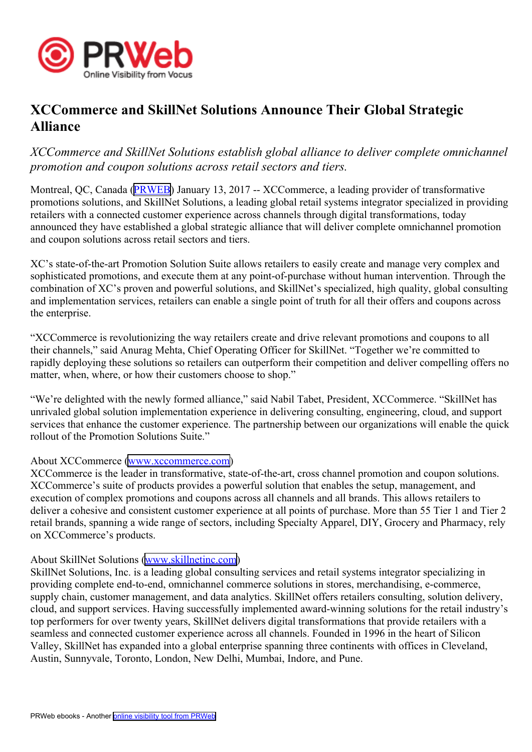

# **XCCommerce and SkillNet Solutions Announce Their Global Strategic Alliance**

## *XCCommerce and SkillNet Solutions establish global alliance to deliver complete omnichannel promotion and coupon solutions across retail sectors and tiers.*

Montreal, QC, Canada ([PRWEB](http://www.prweb.com)) January 13, 2017 -- XCCommerce, a leading provider of transformative promotions solutions, and SkillNet Solutions, <sup>a</sup> leading global retail systems integrator specialized in providing retailers with <sup>a</sup> connected customer experience across channels through digital transformations, today announced they have established <sup>a</sup> global strategic alliance that will deliver complete omnichannel promotion and coupon solutions across retail sectors and tiers.

XC's state-of-the-art Promotion Solution Suite allows retailers to easily create and manage very complex and sophisticated promotions, and execute them at any point-of-purchase without human intervention. Through the combination of XC's proven and powerful solutions, and SkillNet's specialized, high quality, global consulting and implementation services, retailers can enable <sup>a</sup> single point of truth for all their offers and coupons across the enterprise.

"XCCommerce is revolutionizing the way retailers create and drive relevant promotions and coupons to all their channels," said Anurag Mehta, Chief Operating Officer for SkillNet. "Together we're committed to rapidly deploying these solutions so retailers can outperform their competition and deliver compelling offers no matter, when, where, or how their customers choose to shop."

"We're delighted with the newly formed alliance," said Nabil Tabet, President, XCCommerce. "SkillNet has unrivaled global solution implementation experience in delivering consulting, engineering, cloud, and suppor<sup>t</sup> services that enhance the customer experience. The partnership between our organizations will enable the quick rollout of the Promotion Solutions Suite."

#### About XCCommerce [\(www.xccommerce.com](http://www.xccommerce.com))

XCCommerce is the leader in transformative, state-of-the-art, cross channel promotion and coupon solutions. XCCommerce's suite of products provides <sup>a</sup> powerful solution that enables the setup, management, and execution of complex promotions and coupons across all channels and all brands. This allows retailers to deliver a cohesive and consistent customer experience at all points of purchase. More than 55 Tier 1 and Tier 2 retail brands, spanning <sup>a</sup> wide range of sectors, including Specialty Apparel, DIY, Grocery and Pharmacy, rely on XCCommerce's products.

#### About SkillNet Solutions [\(www.skillnetinc.com](http://www.skillnetinc.com))

SkillNet Solutions, Inc. is <sup>a</sup> leading global consulting services and retail systems integrator specializing in providing complete end-to-end, omnichannel commerce solutions in stores, merchandising, e-commerce, supply chain, customer management, and data analytics. SkillNet offers retailers consulting, solution delivery, cloud, and suppor<sup>t</sup> services. Having successfully implemented award-winning solutions for the retail industry's top performers for over twenty years, SkillNet delivers digital transformations that provide retailers with <sup>a</sup> seamless and connected customer experience across all channels. Founded in 1996 in the heart of Silicon Valley, SkillNet has expanded into <sup>a</sup> global enterprise spanning three continents with offices in Cleveland, Austin, Sunnyvale, Toronto, London, New Delhi, Mumbai, Indore, and Pune.